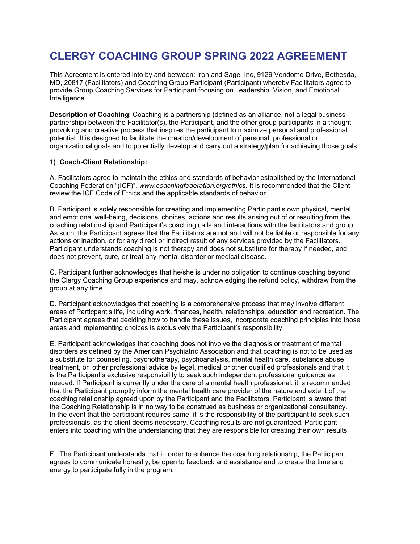# **CLERGY COACHING GROUP SPRING 2022 AGREEMENT**

This Agreement is entered into by and between: Iron and Sage, Inc, 9129 Vendome Drive, Bethesda, MD, 20817 (Facilitators) and Coaching Group Participant (Participant) whereby Facilitators agree to provide Group Coaching Services for Participant focusing on Leadership, Vision, and Emotional Intelligence.

**Description of Coaching:** Coaching is a partnership (defined as an alliance, not a legal business partnership) between the Facilitator(s), the Participant, and the other group participants in a thoughtprovoking and creative process that inspires the participant to maximize personal and professional potential. It is designed to facilitate the creation/development of personal, professional or organizational goals and to potentially develop and carry out a strategy/plan for achieving those goals.

### **1) Coach-Client Relationship:**

A. Facilitators agree to maintain the ethics and standards of behavior established by the International Coaching Federation "(ICF)". *www.coachingfederation.org/ethics.* It is recommended that the Client review the ICF Code of Ethics and the applicable standards of behavior.

B. Participant is solely responsible for creating and implementing Participant's own physical, mental and emotional well-being, decisions, choices, actions and results arising out of or resulting from the coaching relationship and Participant's coaching calls and interactions with the facilitators and group. As such, the Participant agrees that the Facilitators are not and will not be liable or responsible for any actions or inaction, or for any direct or indirect result of any services provided by the Facilitators. Participant understands coaching is not therapy and does not substitute for therapy if needed, and does not prevent, cure, or treat any mental disorder or medical disease.

C. Participant further acknowledges that he/she is under no obligation to continue coaching beyond the Clergy Coaching Group experience and may, acknowledging the refund policy, withdraw from the group at any time.

D. Participant acknowledges that coaching is a comprehensive process that may involve different areas of Particpant's life, including work, finances, health, relationships, education and recreation. The Participant agrees that deciding how to handle these issues, incorporate coaching principles into those areas and implementing choices is exclusively the Participant's responsibility.

E. Participant acknowledges that coaching does not involve the diagnosis or treatment of mental disorders as defined by the American Psychiatric Association and that coaching is not to be used as a substitute for counseling, psychotherapy, psychoanalysis, mental health care, substance abuse treatment, or other professional advice by legal, medical or other qualified professionals and that it is the Participant's exclusive responsibility to seek such independent professional guidance as needed. If Participant is currently under the care of a mental health professional, it is recommended that the Participant promptly inform the mental health care provider of the nature and extent of the coaching relationship agreed upon by the Participant and the Facilitators. Participant is aware that the Coaching Relationship is in no way to be construed as business or organizational consultancy. In the event that the participant requires same, it is the responsibility of the participant to seek such professionals, as the client deems necessary. Coaching results are not guaranteed. Participant enters into coaching with the understanding that they are responsible for creating their own results.

F. The Participant understands that in order to enhance the coaching relationship, the Participant agrees to communicate honestly, be open to feedback and assistance and to create the time and energy to participate fully in the program.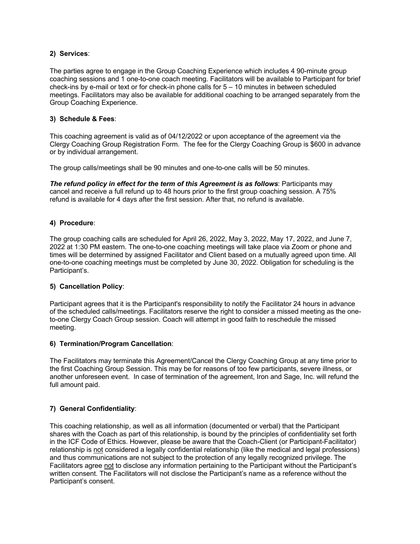## **2) Services**:

The parties agree to engage in the Group Coaching Experience which includes 4 90-minute group coaching sessions and 1 one-to-one coach meeting. Facilitators will be available to Participant for brief check-ins by e-mail or text or for check-in phone calls for 5 – 10 minutes in between scheduled meetings. Facilitators may also be available for additional coaching to be arranged separately from the Group Coaching Experience.

### **3) Schedule & Fees**:

This coaching agreement is valid as of 04/12/2022 or upon acceptance of the agreement via the Clergy Coaching Group Registration Form. The fee for the Clergy Coaching Group is \$600 in advance or by individual arrangement.

The group calls/meetings shall be 90 minutes and one-to-one calls will be 50 minutes.

*The refund policy in effect for the term of this Agreement is as follows*: Participants may cancel and receive a full refund up to 48 hours prior to the first group coaching session. A 75% refund is available for 4 days after the first session. After that, no refund is available.

# **4) Procedure**:

The group coaching calls are scheduled for April 26, 2022, May 3, 2022, May 17, 2022, and June 7, 2022 at 1:30 PM eastern. The one-to-one coaching meetings will take place via Zoom or phone and times will be determined by assigned Facilitator and Client based on a mutually agreed upon time. All one-to-one coaching meetings must be completed by June 30, 2022. Obligation for scheduling is the Participant's.

# **5) Cancellation Policy**:

Participant agrees that it is the Participant's responsibility to notify the Facilitator 24 hours in advance of the scheduled calls/meetings. Facilitators reserve the right to consider a missed meeting as the oneto-one Clergy Coach Group session. Coach will attempt in good faith to reschedule the missed meeting.

# **6) Termination/Program Cancellation**:

The Facilitators may terminate this Agreement/Cancel the Clergy Coaching Group at any time prior to the first Coaching Group Session. This may be for reasons of too few participants, severe illness, or another unforeseen event. In case of termination of the agreement, Iron and Sage, Inc. will refund the full amount paid.

# **7) General Confidentiality**:

This coaching relationship, as well as all information (documented or verbal) that the Participant shares with the Coach as part of this relationship, is bound by the principles of confidentiality set forth in the ICF Code of Ethics. However, please be aware that the Coach-Client (or Participant-Facilitator) relationship is not considered a legally confidential relationship (like the medical and legal professions) and thus communications are not subject to the protection of any legally recognized privilege. The Facilitators agree not to disclose any information pertaining to the Participant without the Participant's written consent. The Facilitators will not disclose the Participant's name as a reference without the Participant's consent.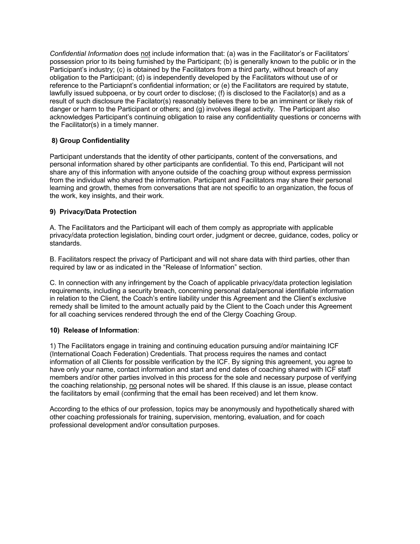*Confidential Information* does not include information that: (a) was in the Facilitator's or Facilitators' possession prior to its being furnished by the Participant; (b) is generally known to the public or in the Participant's industry; (c) is obtained by the Facilitators from a third party, without breach of any obligation to the Participant; (d) is independently developed by the Facilitators without use of or reference to the Particiapnt's confidential information; or (e) the Facilitators are required by statute, lawfully issued subpoena, or by court order to disclose; (f) is disclosed to the Facilator(s) and as a result of such disclosure the Facilator(s) reasonably believes there to be an imminent or likely risk of danger or harm to the Participant or others; and (g) involves illegal activity. The Participant also acknowledges Participant's continuing obligation to raise any confidentiality questions or concerns with the Facilitator(s) in a timely manner.

# **8) Group Confidentiality**

Participant understands that the identity of other participants, content of the conversations, and personal information shared by other participants are confidential. To this end, Participant will not share any of this information with anyone outside of the coaching group without express permission from the individual who shared the information. Participant and Facilitators may share their personal learning and growth, themes from conversations that are not specific to an organization, the focus of the work, key insights, and their work.

# **9) Privacy/Data Protection**

A. The Facilitators and the Participant will each of them comply as appropriate with applicable privacy/data protection legislation, binding court order, judgment or decree, guidance, codes, policy or standards.

B. Facilitators respect the privacy of Participant and will not share data with third parties, other than required by law or as indicated in the "Release of Information" section.

C. In connection with any infringement by the Coach of applicable privacy/data protection legislation requirements, including a security breach, concerning personal data/personal identifiable information in relation to the Client, the Coach's entire liability under this Agreement and the Client's exclusive remedy shall be limited to the amount actually paid by the Client to the Coach under this Agreement for all coaching services rendered through the end of the Clergy Coaching Group.

# **10) Release of Information**:

1) The Facilitators engage in training and continuing education pursuing and/or maintaining ICF (International Coach Federation) Credentials. That process requires the names and contact information of all Clients for possible verification by the ICF. By signing this agreement, you agree to have only your name, contact information and start and end dates of coaching shared with ICF staff members and/or other parties involved in this process for the sole and necessary purpose of verifying the coaching relationship, no personal notes will be shared. If this clause is an issue, please contact the facilitators by email (confirming that the email has been received) and let them know.

According to the ethics of our profession, topics may be anonymously and hypothetically shared with other coaching professionals for training, supervision, mentoring, evaluation, and for coach professional development and/or consultation purposes.